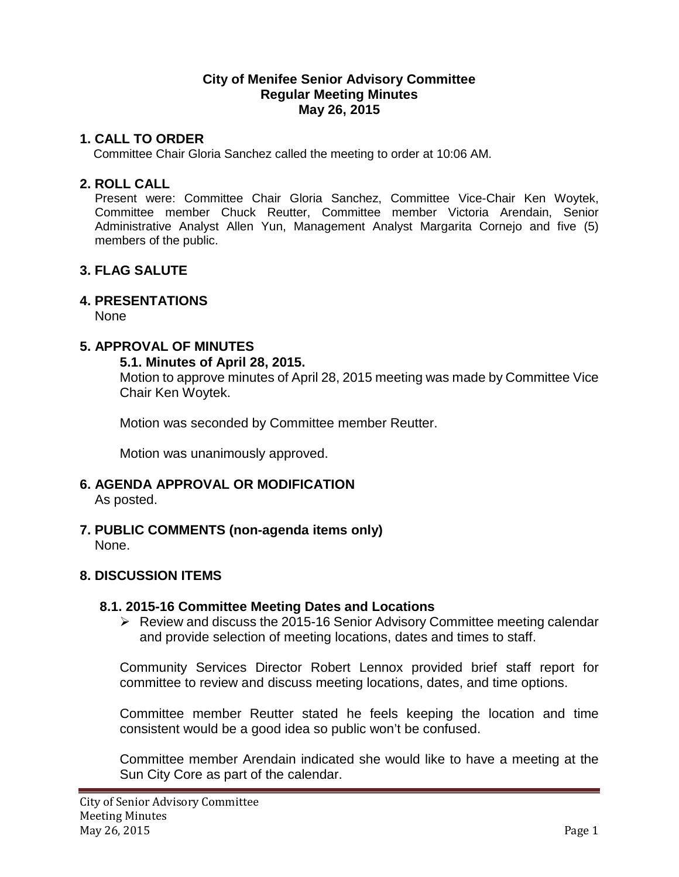#### **City of Menifee Senior Advisory Committee Regular Meeting Minutes May 26, 2015**

# **1. CALL TO ORDER**

Committee Chair Gloria Sanchez called the meeting to order at 10:06 AM.

### **2. ROLL CALL**

Present were: Committee Chair Gloria Sanchez, Committee Vice-Chair Ken Woytek, Committee member Chuck Reutter, Committee member Victoria Arendain, Senior Administrative Analyst Allen Yun, Management Analyst Margarita Cornejo and five (5) members of the public.

# **3. FLAG SALUTE**

# **4. PRESENTATIONS**

None

### **5. APPROVAL OF MINUTES**

#### **5.1. Minutes of April 28, 2015.**

Motion to approve minutes of April 28, 2015 meeting was made by Committee Vice Chair Ken Woytek.

Motion was seconded by Committee member Reutter.

Motion was unanimously approved.

**6. AGENDA APPROVAL OR MODIFICATION**

As posted.

**7. PUBLIC COMMENTS (non-agenda items only)** None.

#### **8. DISCUSSION ITEMS**

#### **8.1. 2015-16 Committee Meeting Dates and Locations**

 $\triangleright$  Review and discuss the 2015-16 Senior Advisory Committee meeting calendar and provide selection of meeting locations, dates and times to staff.

Community Services Director Robert Lennox provided brief staff report for committee to review and discuss meeting locations, dates, and time options.

Committee member Reutter stated he feels keeping the location and time consistent would be a good idea so public won't be confused.

Committee member Arendain indicated she would like to have a meeting at the Sun City Core as part of the calendar.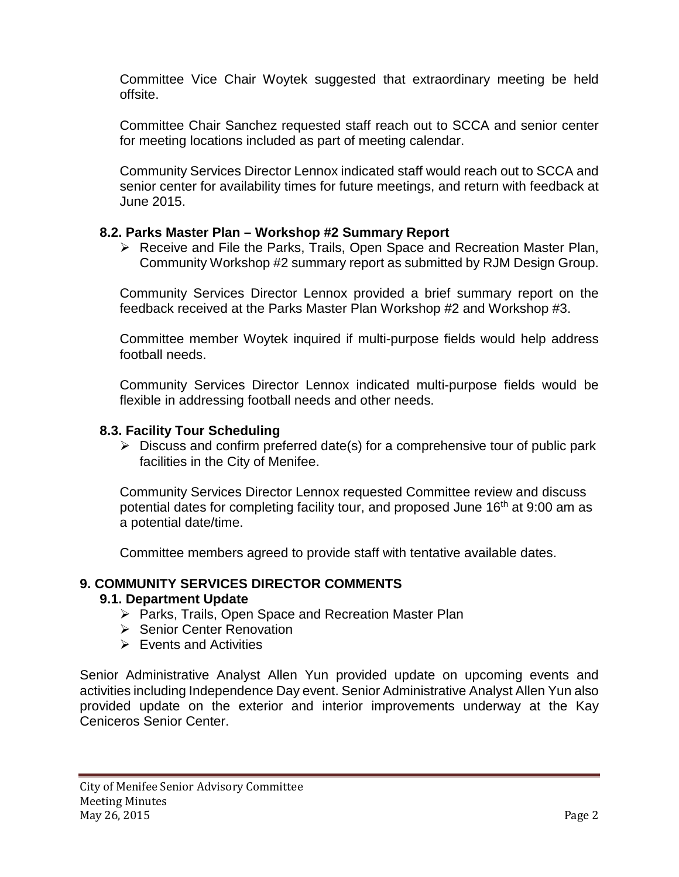Committee Vice Chair Woytek suggested that extraordinary meeting be held offsite.

Committee Chair Sanchez requested staff reach out to SCCA and senior center for meeting locations included as part of meeting calendar.

Community Services Director Lennox indicated staff would reach out to SCCA and senior center for availability times for future meetings, and return with feedback at June 2015.

### **8.2. Parks Master Plan – Workshop #2 Summary Report**

 Receive and File the Parks, Trails, Open Space and Recreation Master Plan, Community Workshop #2 summary report as submitted by RJM Design Group.

Community Services Director Lennox provided a brief summary report on the feedback received at the Parks Master Plan Workshop #2 and Workshop #3.

Committee member Woytek inquired if multi-purpose fields would help address football needs.

Community Services Director Lennox indicated multi-purpose fields would be flexible in addressing football needs and other needs.

### **8.3. Facility Tour Scheduling**

 $\triangleright$  Discuss and confirm preferred date(s) for a comprehensive tour of public park facilities in the City of Menifee.

Community Services Director Lennox requested Committee review and discuss potential dates for completing facility tour, and proposed June 16<sup>th</sup> at 9:00 am as a potential date/time.

Committee members agreed to provide staff with tentative available dates.

# **9. COMMUNITY SERVICES DIRECTOR COMMENTS**

# **9.1. Department Update**

- $\triangleright$  Parks, Trails, Open Space and Recreation Master Plan
- $\triangleright$  Senior Center Renovation
- $\triangleright$  Events and Activities

Senior Administrative Analyst Allen Yun provided update on upcoming events and activities including Independence Day event. Senior Administrative Analyst Allen Yun also provided update on the exterior and interior improvements underway at the Kay Ceniceros Senior Center.